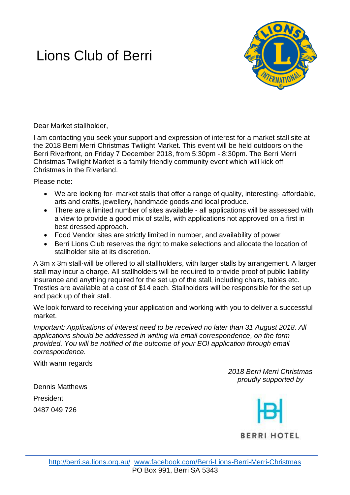# Lions Club of Berri



Dear Market stallholder,

I am contacting you seek your support and expression of interest for a market stall site at the 2018 Berri Merri Christmas Twilight Market. This event will be held outdoors on the Berri Riverfront, on Friday 7 December 2018, from 5:30pm - 8:30pm. The Berri Merri Christmas Twilight Market is a family friendly community event which will kick off Christmas in the Riverland.

Please note:

- We are looking for market stalls that offer a range of quality, interesting affordable, arts and crafts, jewellery, handmade goods and local produce.
- There are a limited number of sites available all applications will be assessed with a view to provide a good mix of stalls, with applications not approved on a first in best dressed approach.
- Food Vendor sites are strictly limited in number, and availability of power
- Berri Lions Club reserves the right to make selections and allocate the location of stallholder site at its discretion.

A 3m x 3m stall·will be offered to all stallholders, with larger stalls by arrangement. A larger stall may incur a charge. All stallholders will be required to provide proof of public liability insurance and anything required for the set up of the stall, including chairs, tables etc. Trestles are available at a cost of \$14 each. Stallholders will be responsible for the set up and pack up of their stall.

We look forward to receiving your application and working with you to deliver a successful market.

*Important: Applications of interest need to be received no later than 31 August 2018. All applications should be addressed in writing via email correspondence, on the form provided. You will be notified of the outcome of your EOI application through email correspondence.*

With warm regards

*2018 Berri Merri Christmas proudly supported by*

Dennis Matthews President 0487 049 726

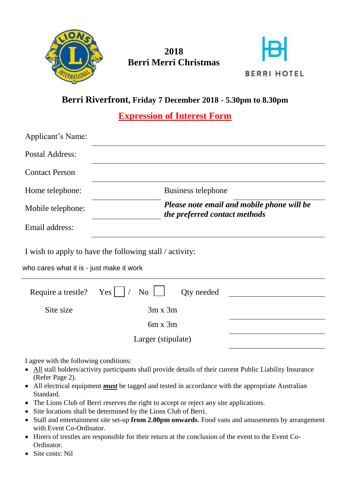

# **2018 Berri Merri Christmas**



## **Berri Riverfront, Friday 7 December 2018 - 5.30pm to 8.30pm**

**Expression of Interest Form**

| Applicant's Name:                                                                                   |                                                                             |            |  |
|-----------------------------------------------------------------------------------------------------|-----------------------------------------------------------------------------|------------|--|
| <b>Postal Address:</b>                                                                              |                                                                             |            |  |
| <b>Contact Person</b>                                                                               |                                                                             |            |  |
| Home telephone:                                                                                     | <b>Business telephone</b>                                                   |            |  |
| Mobile telephone:                                                                                   | Please note email and mobile phone will be<br>the preferred contact methods |            |  |
| Email address:                                                                                      |                                                                             |            |  |
| I wish to apply to have the following stall / activity:<br>who cares what it is - just make it work |                                                                             |            |  |
| Require a trestle?                                                                                  | Yes  <br>N <sub>o</sub>                                                     | Qty needed |  |
| Site size                                                                                           | $3m \times 3m$                                                              |            |  |
|                                                                                                     | $6m \times 3m$                                                              |            |  |
|                                                                                                     | Larger (stipulate)                                                          |            |  |

I agree with the following conditions:

- All stall holders/activity participants shall provide details of their current Public Liability Insurance (Refer Page 2).
- All electrical equipment *must* be tagged and tested in accordance with the appropriate Australian Standard.
- The Lions Club of Berri reserves the right to accept or reject any site applications.
- Site locations shall be determined by the Lions Club of Berri.
- Stall and entertainment site set-up **from 2.00pm onwards**. Food vans and amusements by arrangement with Event Co-Ordinator.
- Hirers of trestles are responsible for their return at the conclusion of the event to the Event Co-Ordinator.
- Site costs: Nil